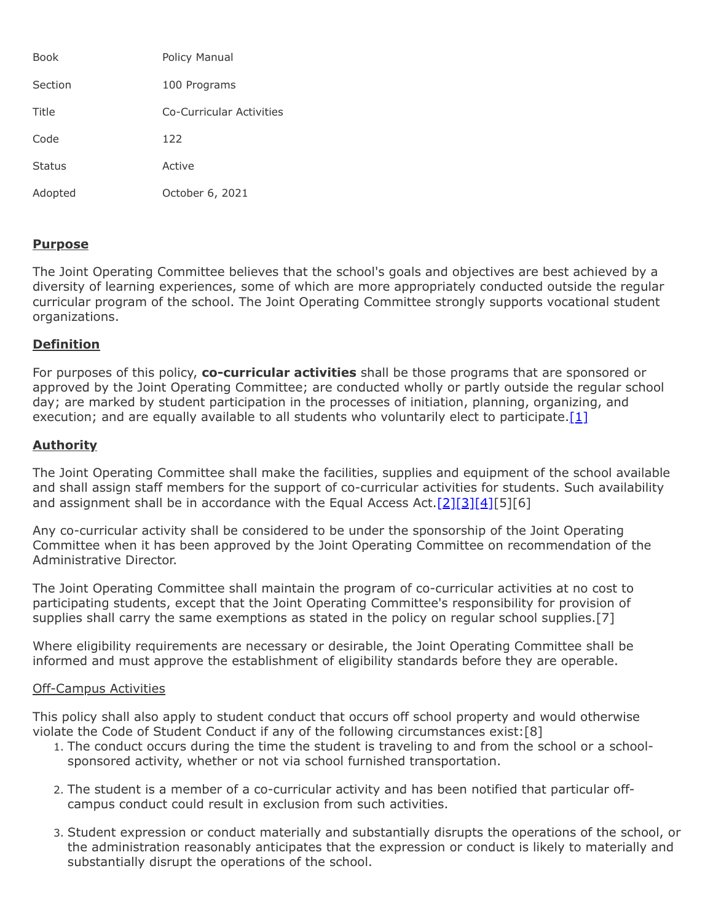| <b>Book</b>   | Policy Manual            |
|---------------|--------------------------|
| Section       | 100 Programs             |
| Title         | Co-Curricular Activities |
| Code          | 122                      |
| <b>Status</b> | Active                   |
| Adopted       | October 6, 2021          |

## **Purpose**

The Joint Operating Committee believes that the school's goals and objectives are best achieved by a diversity of learning experiences, some of which are more appropriately conducted outside the regular curricular program of the school. The Joint Operating Committee strongly supports vocational student organizations.

## **Definition**

For purposes of this policy, **co-curricular activities** shall be those programs that are sponsored or approved by the Joint Operating Committee; are conducted wholly or partly outside the regular school day; are marked by student participation in the processes of initiation, planning, organizing, and execution; and are equally available to all students who voluntarily elect to participate. $[1]$ 

# **Authority**

The Joint Operating Committee shall make the facilities, supplies and equipment of the school available and shall assign staff members for the support of co-curricular activities for students. Such availability and assignment shall be in accordance with the Equal Access Act.  $[2][3][4][5][6]$  $[2][3][4][5][6]$  $[2][3][4][5][6]$  $[2][3][4][5][6]$ 

Any co-curricular activity shall be considered to be under the sponsorship of the Joint Operating Committee when it has been approved by the Joint Operating Committee on recommendation of the Administrative Director.

The Joint Operating Committee shall maintain the program of co-curricular activities at no cost to participating students, except that the Joint Operating Committee's responsibility for provision of supplies shall carry the same exemptions as stated in the policy on regular school supplies.[7]

Where eligibility requirements are necessary or desirable, the Joint Operating Committee shall be informed and must approve the establishment of eligibility standards before they are operable.

## Off-Campus Activities

This policy shall also apply to student conduct that occurs off school property and would otherwise violate the Code of Student Conduct if any of the following circumstances exist:[8]

- 1. The conduct occurs during the time the student is traveling to and from the school or a schoolsponsored activity, whether or not via school furnished transportation.
- 2. The student is a member of a co-curricular activity and has been notified that particular offcampus conduct could result in exclusion from such activities.
- 3. Student expression or conduct materially and substantially disrupts the operations of the school, or the administration reasonably anticipates that the expression or conduct is likely to materially and substantially disrupt the operations of the school.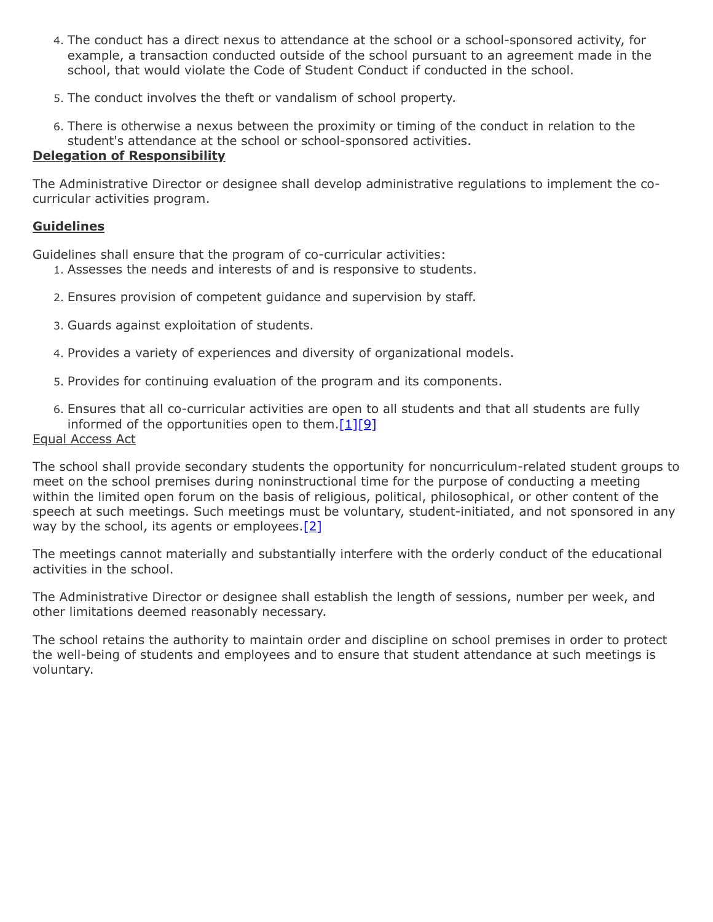- 4. The conduct has a direct nexus to attendance at the school or a school-sponsored activity, for example, a transaction conducted outside of the school pursuant to an agreement made in the school, that would violate the Code of Student Conduct if conducted in the school.
- 5. The conduct involves the theft or vandalism of school property.
- 6. There is otherwise a nexus between the proximity or timing of the conduct in relation to the student's attendance at the school or school-sponsored activities.

## **Delegation of Responsibility**

The Administrative Director or designee shall develop administrative regulations to implement the cocurricular activities program.

## **Guidelines**

Guidelines shall ensure that the program of co-curricular activities:

- 1. Assesses the needs and interests of and is responsive to students.
- 2. Ensures provision of competent guidance and supervision by staff.
- 3. Guards against exploitation of students.
- 4. Provides a variety of experiences and diversity of organizational models.
- 5. Provides for continuing evaluation of the program and its components.
- 6. Ensures that all co-curricular activities are open to all students and that all students are fully informed of the opportunities open to them. $[1][9]$  $[1][9]$

## Equal Access Act

The school shall provide secondary students the opportunity for noncurriculum-related student groups to meet on the school premises during noninstructional time for the purpose of conducting a meeting within the limited open forum on the basis of religious, political, philosophical, or other content of the speech at such meetings. Such meetings must be voluntary, student-initiated, and not sponsored in any way by the school, its agents or employees. $[2]$ 

The meetings cannot materially and substantially interfere with the orderly conduct of the educational activities in the school.

The Administrative Director or designee shall establish the length of sessions, number per week, and other limitations deemed reasonably necessary.

The school retains the authority to maintain order and discipline on school premises in order to protect the well-being of students and employees and to ensure that student attendance at such meetings is voluntary.